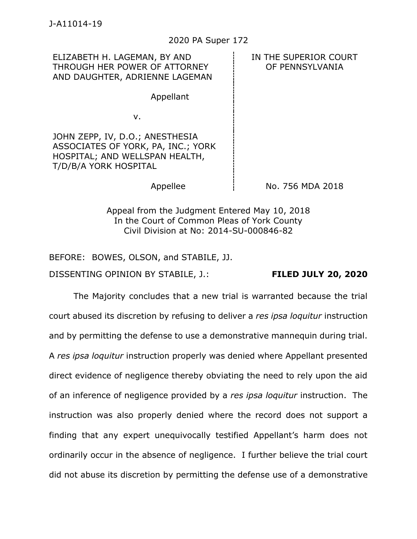ELIZABETH H. LAGEMAN, BY AND THROUGH HER POWER OF ATTORNEY AND DAUGHTER, ADRIENNE LAGEMAN

IN THE SUPERIOR COURT OF PENNSYLVANIA

v.

JOHN ZEPP, IV, D.O.; ANESTHESIA ASSOCIATES OF YORK, PA, INC.; YORK HOSPITAL; AND WELLSPAN HEALTH, T/D/B/A YORK HOSPITAL

Appellant

Appellee  $\frac{1}{2}$  No. 756 MDA 2018

Appeal from the Judgment Entered May 10, 2018 In the Court of Common Pleas of York County Civil Division at No: 2014-SU-000846-82

BEFORE: BOWES, OLSON, and STABILE, JJ.

DISSENTING OPINION BY STABILE, J.: **FILED JULY 20, 2020**

The Majority concludes that a new trial is warranted because the trial court abused its discretion by refusing to deliver a *res ipsa loquitur* instruction and by permitting the defense to use a demonstrative mannequin during trial. A *res ipsa loquitur* instruction properly was denied where Appellant presented direct evidence of negligence thereby obviating the need to rely upon the aid of an inference of negligence provided by a *res ipsa loquitur* instruction. The instruction was also properly denied where the record does not support a finding that any expert unequivocally testified Appellant's harm does not ordinarily occur in the absence of negligence. I further believe the trial court did not abuse its discretion by permitting the defense use of a demonstrative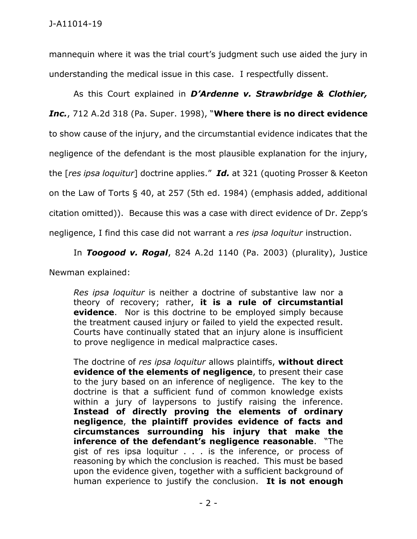mannequin where it was the trial court's judgment such use aided the jury in understanding the medical issue in this case. I respectfully dissent.

As this Court explained in *D'Ardenne v. Strawbridge & Clothier, Inc.*, 712 A.2d 318 (Pa. Super. 1998), "**Where there is no direct evidence** to show cause of the injury, and the circumstantial evidence indicates that the negligence of the defendant is the most plausible explanation for the injury, the [*res ipsa loquitur*] doctrine applies." *Id.* at 321 (quoting Prosser & Keeton on the Law of Torts § 40, at 257 (5th ed. 1984) (emphasis added, additional citation omitted)). Because this was a case with direct evidence of Dr. Zepp's negligence, I find this case did not warrant a *res ipsa loquitur* instruction.

In *Toogood v. Rogal*, 824 A.2d 1140 (Pa. 2003) (plurality), Justice

Newman explained:

*Res ipsa loquitur* is neither a doctrine of substantive law nor a theory of recovery; rather, **it is a rule of circumstantial evidence**. Nor is this doctrine to be employed simply because the treatment caused injury or failed to yield the expected result. Courts have continually stated that an injury alone is insufficient to prove negligence in medical malpractice cases.

The doctrine of *res ipsa loquitur* allows plaintiffs, **without direct evidence of the elements of negligence**, to present their case to the jury based on an inference of negligence. The key to the doctrine is that a sufficient fund of common knowledge exists within a jury of laypersons to justify raising the inference. **Instead of directly proving the elements of ordinary negligence**, **the plaintiff provides evidence of facts and circumstances surrounding his injury that make the inference of the defendant's negligence reasonable**. "The gist of res ipsa loquitur . . . is the inference, or process of reasoning by which the conclusion is reached. This must be based upon the evidence given, together with a sufficient background of human experience to justify the conclusion. **It is not enough**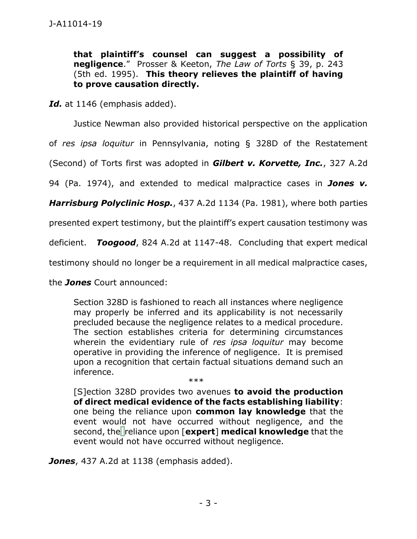**that plaintiff's counsel can suggest a possibility of negligence**." Prosser & Keeton, *The Law of Torts* § 39, p. 243 (5th ed. 1995). **This theory relieves the plaintiff of having to prove causation directly.**

Id. at 1146 (emphasis added).

Justice Newman also provided historical perspective on the application

of *res ipsa loquitur* in Pennsylvania, noting § 328D of the Restatement

(Second) of Torts first was adopted in *Gilbert v. Korvette, Inc.*, 327 A.2d

94 (Pa. 1974), and extended to medical malpractice cases in *Jones v.* 

*Harrisburg Polyclinic Hosp.*, 437 A.2d 1134 (Pa. 1981), where both parties

presented expert testimony, but the plaintiff's expert causation testimony was

deficient. *Toogood*, 824 A.2d at 1147-48. Concluding that expert medical

testimony should no longer be a requirement in all medical malpractice cases,

the *Jones* Court announced:

Section 328D is fashioned to reach all instances where negligence may properly be inferred and its applicability is not necessarily precluded because the negligence relates to a medical procedure. The section establishes criteria for determining circumstances wherein the evidentiary rule of *res ipsa loquitur* may become operative in providing the inference of negligence. It is premised upon a recognition that certain factual situations demand such an inference.

\*\*\*

[S[\]ection 328D](https://1.next.westlaw.com/Link/Document/FullText?findType=Y&serNum=0290694079&pubNum=0101577&originatingDoc=Id7ed0a4732f611d986b0aa9c82c164c0&refType=TS&originationContext=document&transitionType=DocumentItem&contextData=(sc.UserEnteredCitation)) provides two avenues **to avoid the production of direct medical evidence of the facts establishing liability**: one being the reliance upon **common lay knowledge** that the event would not have occurred without negligence, and the second, the reliance upon [**expert**] **medical knowledge** that the event would not have occurred without negligence.

*Jones*, 437 A.2d at 1138 (emphasis added).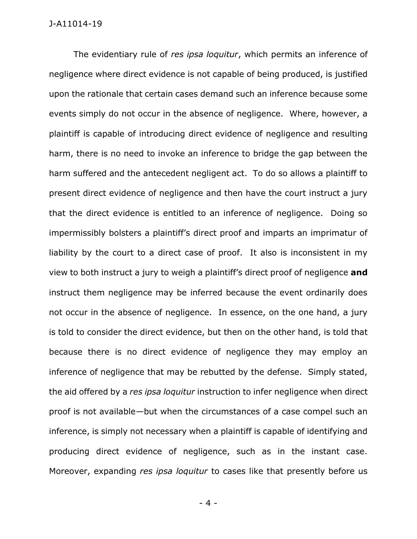The evidentiary rule of *res ipsa loquitur*, which permits an inference of negligence where direct evidence is not capable of being produced, is justified upon the rationale that certain cases demand such an inference because some events simply do not occur in the absence of negligence. Where, however, a plaintiff is capable of introducing direct evidence of negligence and resulting harm, there is no need to invoke an inference to bridge the gap between the harm suffered and the antecedent negligent act. To do so allows a plaintiff to present direct evidence of negligence and then have the court instruct a jury that the direct evidence is entitled to an inference of negligence. Doing so impermissibly bolsters a plaintiff's direct proof and imparts an imprimatur of liability by the court to a direct case of proof. It also is inconsistent in my view to both instruct a jury to weigh a plaintiff's direct proof of negligence **and**  instruct them negligence may be inferred because the event ordinarily does not occur in the absence of negligence. In essence, on the one hand, a jury is told to consider the direct evidence, but then on the other hand, is told that because there is no direct evidence of negligence they may employ an inference of negligence that may be rebutted by the defense. Simply stated, the aid offered by a *res ipsa loquitur* instruction to infer negligence when direct proof is not available—but when the circumstances of a case compel such an inference, is simply not necessary when a plaintiff is capable of identifying and producing direct evidence of negligence, such as in the instant case. Moreover, expanding *res ipsa loquitur* to cases like that presently before us

- 4 -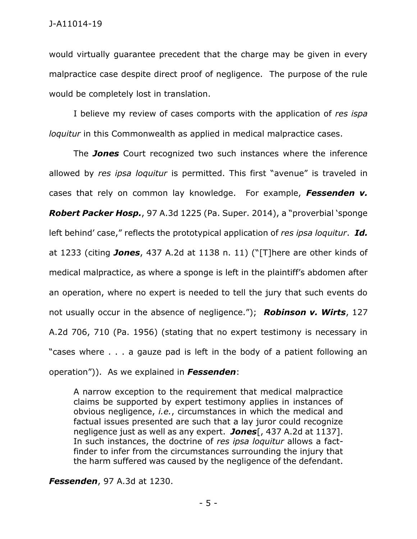would virtually guarantee precedent that the charge may be given in every malpractice case despite direct proof of negligence. The purpose of the rule would be completely lost in translation.

I believe my review of cases comports with the application of *res ispa loquitur* in this Commonwealth as applied in medical malpractice cases.

The *Jones* Court recognized two such instances where the inference allowed by *res ipsa loquitur* is permitted. This first "avenue" is traveled in cases that rely on common lay knowledge. For example, *Fessenden v. Robert Packer Hosp.*, 97 A.3d 1225 (Pa. Super. 2014), a "proverbial 'sponge left behind' case," reflects the prototypical application of *res ipsa loquitur*. *Id.* at 1233 (citing *Jones*, 437 A.2d at 1138 n. 11) ("[T]here are other kinds of medical malpractice, as where a sponge is left in the plaintiff's abdomen after an operation, where no expert is needed to tell the jury that such events do not usually occur in the absence of negligence."); *Robinson v. Wirts*, 127 A.2d 706, 710 (Pa. 1956) (stating that no expert testimony is necessary in "cases where . . . a gauze pad is left in the body of a patient following an operation")). As we explained in *Fessenden*:

A narrow exception to the requirement that medical malpractice claims be supported by expert testimony applies in instances of obvious negligence, *i.e.*, circumstances in which the medical and factual issues presented are such that a lay juror could recognize negligence just as well as any expert. *Jones*[, 437 A.2d at 1137]. In such instances, the doctrine of *res ipsa loquitur* allows a factfinder to infer from the circumstances surrounding the injury that the harm suffered was caused by the negligence of the defendant.

*Fessenden*, 97 A.3d at 1230.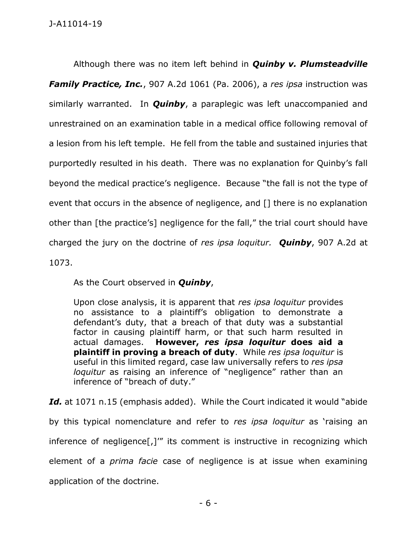Although there was no item left behind in *Quinby v. Plumsteadville Family Practice, Inc.*, 907 A.2d 1061 (Pa. 2006), a *res ipsa* instruction was similarly warranted. In *Quinby*, a paraplegic was left unaccompanied and unrestrained on an examination table in a medical office following removal of a lesion from his left temple. He fell from the table and sustained injuries that purportedly resulted in his death. There was no explanation for Quinby's fall beyond the medical practice's negligence. Because "the fall is not the type of event that occurs in the absence of negligence, and [] there is no explanation other than [the practice's] negligence for the fall," the trial court should have charged the jury on the doctrine of *res ipsa loquitur. Quinby*, 907 A.2d at 1073.

As the Court observed in *Quinby*,

Upon close analysis, it is apparent that *res ipsa loquitur* provides no assistance to a plaintiff's obligation to demonstrate a defendant's duty, that a breach of that duty was a substantial factor in causing plaintiff harm, or that such harm resulted in actual damages. **However,** *res ipsa loquitur* **does aid a plaintiff in proving a breach of duty**. While *res ipsa loquitur* is useful in this limited regard, case law universally refers to *res ipsa loquitur* as raising an inference of "negligence" rather than an inference of "breach of duty."

Id. at 1071 n.15 (emphasis added). While the Court indicated it would "abide by this typical nomenclature and refer to *res ipsa loquitur* as 'raising an inference of negligence[,]'" its comment is instructive in recognizing which element of a *prima facie* case of negligence is at issue when examining application of the doctrine.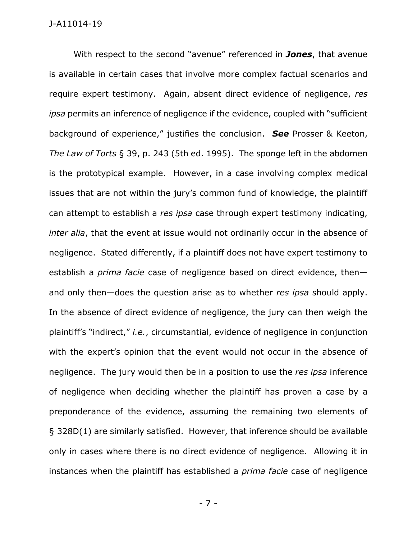With respect to the second "avenue" referenced in *Jones*, that avenue is available in certain cases that involve more complex factual scenarios and require expert testimony. Again, absent direct evidence of negligence, *res ipsa* permits an inference of negligence if the evidence, coupled with "sufficient background of experience," justifies the conclusion. *See* Prosser & Keeton, *The Law of Torts* § 39, p. 243 (5th ed. 1995). The sponge left in the abdomen is the prototypical example. However, in a case involving complex medical issues that are not within the jury's common fund of knowledge, the plaintiff can attempt to establish a *res ipsa* case through expert testimony indicating, *inter alia*, that the event at issue would not ordinarily occur in the absence of negligence. Stated differently, if a plaintiff does not have expert testimony to establish a *prima facie* case of negligence based on direct evidence, then and only then—does the question arise as to whether *res ipsa* should apply. In the absence of direct evidence of negligence, the jury can then weigh the plaintiff's "indirect," *i.e.*, circumstantial, evidence of negligence in conjunction with the expert's opinion that the event would not occur in the absence of negligence. The jury would then be in a position to use the *res ipsa* inference of negligence when deciding whether the plaintiff has proven a case by a preponderance of the evidence, assuming the remaining two elements of § 328D(1) are similarly satisfied. However, that inference should be available only in cases where there is no direct evidence of negligence. Allowing it in instances when the plaintiff has established a *prima facie* case of negligence

- 7 -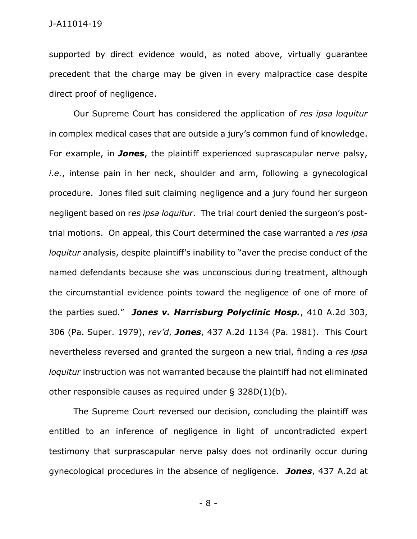supported by direct evidence would, as noted above, virtually guarantee precedent that the charge may be given in every malpractice case despite direct proof of negligence.

Our Supreme Court has considered the application of *res ipsa loquitur*  in complex medical cases that are outside a jury's common fund of knowledge. For example, in *Jones*, the plaintiff experienced suprascapular nerve palsy, *i.e.*, intense pain in her neck, shoulder and arm, following a gynecological procedure. Jones filed suit claiming negligence and a jury found her surgeon negligent based on r*es ipsa loquitur*. The trial court denied the surgeon's posttrial motions. On appeal, this Court determined the case warranted a *res ipsa loquitur* analysis, despite plaintiff's inability to "aver the precise conduct of the named defendants because she was unconscious during treatment, although the circumstantial evidence points toward the negligence of one of more of the parties sued." *Jones v. Harrisburg Polyclinic Hosp.*, 410 A.2d 303, 306 (Pa. Super. 1979), *rev'd*, *Jones*, 437 A.2d 1134 (Pa. 1981). This Court nevertheless reversed and granted the surgeon a new trial, finding a *res ipsa loquitur* instruction was not warranted because the plaintiff had not eliminated other responsible causes as required under § 328D(1)(b).

The Supreme Court reversed our decision, concluding the plaintiff was entitled to an inference of negligence in light of uncontradicted expert testimony that surprascapular nerve palsy does not ordinarily occur during gynecological procedures in the absence of negligence. *Jones*, 437 A.2d at

- 8 -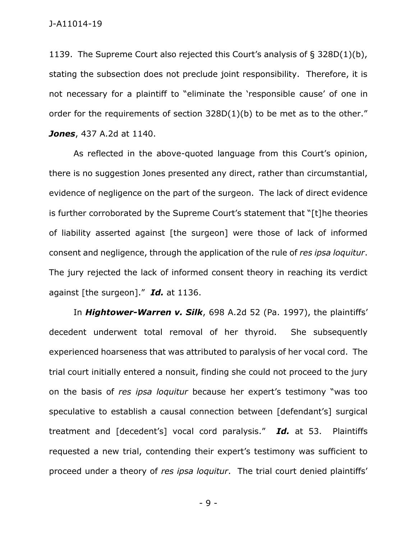1139. The Supreme Court also rejected this Court's analysis of § 328D(1)(b), stating the subsection does not preclude joint responsibility. Therefore, it is not necessary for a plaintiff to "eliminate the 'responsible cause' of one in order for the requirements of section 328D(1)(b) to be met as to the other." *Jones*, 437 A.2d at 1140.

As reflected in the above-quoted language from this Court's opinion, there is no suggestion Jones presented any direct, rather than circumstantial, evidence of negligence on the part of the surgeon. The lack of direct evidence is further corroborated by the Supreme Court's statement that "[t]he theories of liability asserted against [the surgeon] were those of lack of informed consent and negligence, through the application of the rule of *res ipsa loquitur*. The jury rejected the lack of informed consent theory in reaching its verdict against [the surgeon]." *Id.* at 1136.

In *Hightower-Warren v. Silk*, 698 A.2d 52 (Pa. 1997), the plaintiffs' decedent underwent total removal of her thyroid. She subsequently experienced hoarseness that was attributed to paralysis of her vocal cord. The trial court initially entered a nonsuit, finding she could not proceed to the jury on the basis of *res ipsa loquitur* because her expert's testimony "was too speculative to establish a causal connection between [defendant's] surgical treatment and [decedent's] vocal cord paralysis." *Id.* at 53. Plaintiffs requested a new trial, contending their expert's testimony was sufficient to proceed under a theory of *res ipsa loquitur*. The trial court denied plaintiffs'

- 9 -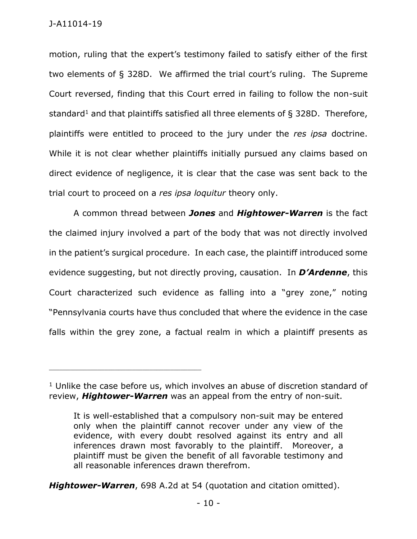motion, ruling that the expert's testimony failed to satisfy either of the first two elements of § 328D. We affirmed the trial court's ruling. The Supreme Court reversed, finding that this Court erred in failing to follow the non-suit standard<sup>1</sup> and that plaintiffs satisfied all three elements of  $\S$  328D. Therefore, plaintiffs were entitled to proceed to the jury under the *res ipsa* doctrine. While it is not clear whether plaintiffs initially pursued any claims based on direct evidence of negligence, it is clear that the case was sent back to the trial court to proceed on a *res ipsa loquitur* theory only.

A common thread between *Jones* and *Hightower-Warren* is the fact the claimed injury involved a part of the body that was not directly involved in the patient's surgical procedure. In each case, the plaintiff introduced some evidence suggesting, but not directly proving, causation. In *D'Ardenne*, this Court characterized such evidence as falling into a "grey zone," noting "Pennsylvania courts have thus concluded that where the evidence in the case falls within the grey zone, a factual realm in which a plaintiff presents as

\_\_\_\_\_\_\_\_\_\_\_\_\_\_\_\_\_\_\_\_\_\_\_\_\_\_\_\_\_\_\_\_\_\_\_\_\_\_\_\_\_\_\_\_

*Hightower-Warren*, 698 A.2d at 54 (quotation and citation omitted).

 $1$  Unlike the case before us, which involves an abuse of discretion standard of review, *Hightower-Warren* was an appeal from the entry of non-suit.

It is well-established that a compulsory non-suit may be entered only when the plaintiff cannot recover under any view of the evidence, with every doubt resolved against its entry and all inferences drawn most favorably to the plaintiff. Moreover, a plaintiff must be given the benefit of all favorable testimony and all reasonable inferences drawn therefrom.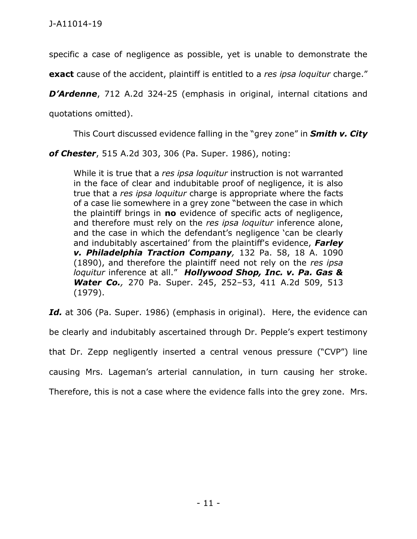specific a case of negligence as possible, yet is unable to demonstrate the

**exact** cause of the accident, plaintiff is entitled to a *res ipsa loquitur* charge."

*D'Ardenne*, 712 A.2d 324-25 (emphasis in original, internal citations and

quotations omitted).

This Court discussed evidence falling in the "grey zone" in *Smith v. City* 

*of Chester*, 515 A.2d 303, 306 (Pa. Super. 1986), noting:

While it is true that a *res ipsa loquitur* instruction is not warranted in the face of clear and indubitable proof of negligence, it is also true that a *res ipsa loquitur* charge is appropriate where the facts of a case lie somewhere in a grey zone "between the case in which the plaintiff brings in **no** evidence of specific acts of negligence, and therefore must rely on the *res ipsa loquitur* inference alone, and the case in which the defendant's negligence 'can be clearly and indubitably ascertained' from the plaintiff's evidence, *[Farley](https://1.next.westlaw.com/Link/Document/FullText?findType=Y&serNum=1890002113&pubNum=161&originatingDoc=Iac32b296349711d98b61a35269fc5f88&refType=RP&originationContext=document&transitionType=DocumentItem&contextData=(sc.Keycite))  [v. Philadelphia Traction Company](https://1.next.westlaw.com/Link/Document/FullText?findType=Y&serNum=1890002113&pubNum=161&originatingDoc=Iac32b296349711d98b61a35269fc5f88&refType=RP&originationContext=document&transitionType=DocumentItem&contextData=(sc.Keycite)),* 132 Pa. 58, 18 A. 1090 [\(1890\),](https://1.next.westlaw.com/Link/Document/FullText?findType=Y&serNum=1890002113&pubNum=161&originatingDoc=Iac32b296349711d98b61a35269fc5f88&refType=RP&originationContext=document&transitionType=DocumentItem&contextData=(sc.Keycite)) and therefore the plaintiff need not rely on the *res ipsa loquitur* inference at all." *[Hollywood Shop, Inc. v. Pa. Gas &](https://1.next.westlaw.com/Link/Document/FullText?findType=Y&serNum=1980192584&pubNum=162&originatingDoc=Iac32b296349711d98b61a35269fc5f88&refType=RP&fi=co_pp_sp_162_513&originationContext=document&transitionType=DocumentItem&contextData=(sc.Keycite)#co_pp_sp_162_513)  Water Co.,* [270 Pa. Super. 245, 252](https://1.next.westlaw.com/Link/Document/FullText?findType=Y&serNum=1980192584&pubNum=162&originatingDoc=Iac32b296349711d98b61a35269fc5f88&refType=RP&fi=co_pp_sp_162_513&originationContext=document&transitionType=DocumentItem&contextData=(sc.Keycite)#co_pp_sp_162_513)–53, 411 A.2d 509, 513 [\(1979\).](https://1.next.westlaw.com/Link/Document/FullText?findType=Y&serNum=1980192584&pubNum=162&originatingDoc=Iac32b296349711d98b61a35269fc5f88&refType=RP&fi=co_pp_sp_162_513&originationContext=document&transitionType=DocumentItem&contextData=(sc.Keycite)#co_pp_sp_162_513)

Id. at 306 (Pa. Super. 1986) (emphasis in original). Here, the evidence can be clearly and indubitably ascertained through Dr. Pepple's expert testimony that Dr. Zepp negligently inserted a central venous pressure ("CVP") line causing Mrs. Lageman's arterial cannulation, in turn causing her stroke. Therefore, this is not a case where the evidence falls into the grey zone. Mrs.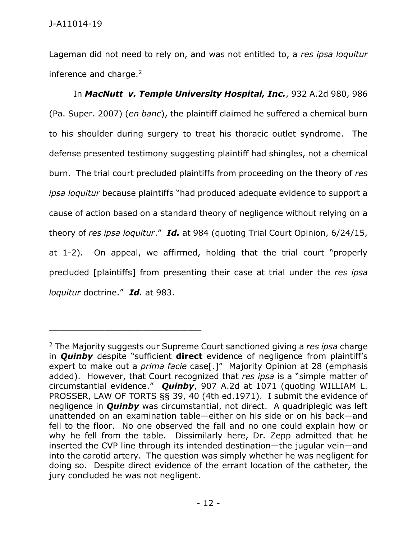Lageman did not need to rely on, and was not entitled to, a *res ipsa loquitur*  inference and charge. $2$ 

In *MacNutt [v. Temple University Hospital, Inc.](https://1.next.westlaw.com/Link/Document/FullText?findType=Y&serNum=2013134994&pubNum=0000162&originatingDoc=Ice0b976a968011deb08de1b7506ad85b&refType=RP&fi=co_pp_sp_162_986&originationContext=document&transitionType=DocumentItem&contextData=(sc.Keycite)#co_pp_sp_162_986)*, 932 A.2d 980, 986 [\(Pa. Super.](https://1.next.westlaw.com/Link/Document/FullText?findType=Y&serNum=2013134994&pubNum=0000162&originatingDoc=Ice0b976a968011deb08de1b7506ad85b&refType=RP&fi=co_pp_sp_162_986&originationContext=document&transitionType=DocumentItem&contextData=(sc.Keycite)#co_pp_sp_162_986) 2007) (*en banc*), the plaintiff claimed he suffered a chemical burn to his shoulder during surgery to treat his thoracic outlet syndrome. The defense presented testimony suggesting plaintiff had shingles, not a chemical burn. The trial court precluded plaintiffs from proceeding on the theory of *res ipsa loquitur* because plaintiffs "had produced adequate evidence to support a cause of action based on a standard theory of negligence without relying on a theory of *res ipsa loquitur*." *Id.* at 984 (quoting Trial Court Opinion, 6/24/15, at 1-2). On appeal, we affirmed, holding that the trial court "properly precluded [plaintiffs] from presenting their case at trial under the *res ipsa loquitur* doctrine." *Id.* at 983.

<sup>2</sup> The Majority suggests our Supreme Court sanctioned giving a *res ipsa* charge in *Quinby* despite "sufficient **direct** evidence of negligence from plaintiff's expert to make out a *prima facie* case[.]" Majority Opinion at 28 (emphasis added). However, that Court recognized that *res ipsa* is a "simple matter of circumstantial evidence." *Quinby*, 907 A.2d at 1071 (quoting WILLIAM L. PROSSER, LAW OF TORTS §§ 39, 40 (4th ed.1971). I submit the evidence of negligence in *Quinby* was circumstantial, not direct. A quadriplegic was left unattended on an examination table—either on his side or on his back—and fell to the floor. No one observed the fall and no one could explain how or why he fell from the table. Dissimilarly here, Dr. Zepp admitted that he inserted the CVP line through its intended destination—the jugular vein—and into the carotid artery. The question was simply whether he was negligent for doing so. Despite direct evidence of the errant location of the catheter, the jury concluded he was not negligent.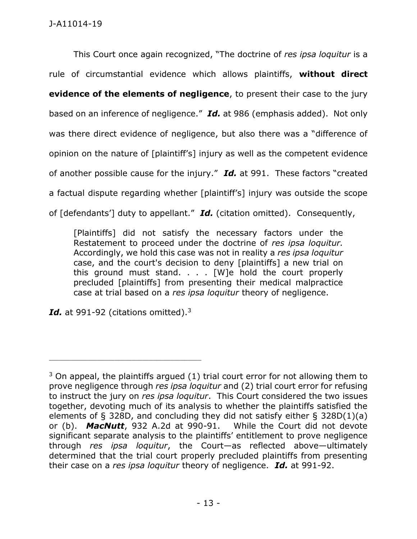This Court once again recognized, "The doctrine of *res ipsa loquitur* is a rule of circumstantial evidence which allows plaintiffs, **without direct evidence of the elements of negligence**, to present their case to the jury based on an inference of negligence." *Id.* at 986 (emphasis added). Not only was there direct evidence of negligence, but also there was a "difference of opinion on the nature of [plaintiff's] injury as well as the competent evidence of another possible cause for the injury." *Id.* at 991. These factors "created a factual dispute regarding whether [plaintiff's] injury was outside the scope of [defendants'] duty to appellant." *Id.* (citation omitted). Consequently,

[Plaintiffs] did not satisfy the necessary factors under the Restatement to proceed under the doctrine of *res ipsa loquitur.* Accordingly, we hold this case was not in reality a *res ipsa loquitur* case, and the court's decision to deny [plaintiffs] a new trial on this ground must stand.  $\ldots$  [W]e hold the court properly precluded [plaintiffs] from presenting their medical malpractice case at trial based on a *res ipsa loquitur* theory of negligence.

*Id.* at 991-92 (citations omitted).<sup>3</sup>

 $3$  On appeal, the plaintiffs argued (1) trial court error for not allowing them to prove negligence through *res ipsa loquitur* and (2) trial court error for refusing to instruct the jury on *res ipsa loquitur*. This Court considered the two issues together, devoting much of its analysis to whether the plaintiffs satisfied the elements of § 328D, and concluding they did not satisfy either § 328D(1)(a) or (b). *MacNutt*, 932 A.2d at 990-91. While the Court did not devote significant separate analysis to the plaintiffs' entitlement to prove negligence through *res ipsa loquitur*, the Court—as reflected above—ultimately determined that the trial court properly precluded plaintiffs from presenting their case on a *res ipsa loquitur* theory of negligence. *Id.* at 991-92.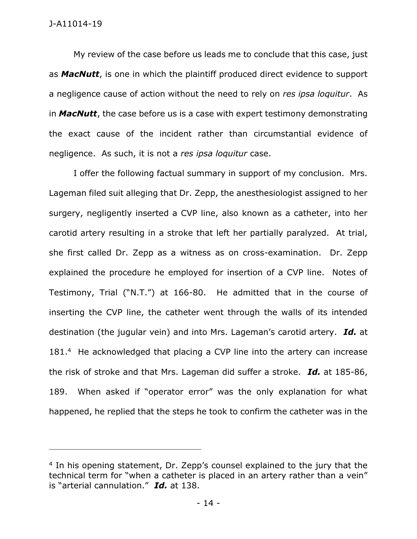My review of the case before us leads me to conclude that this case, just as *MacNutt*, is one in which the plaintiff produced direct evidence to support a negligence cause of action without the need to rely on *res ipsa loquitur*. As in *MacNutt*, the case before us is a case with expert testimony demonstrating the exact cause of the incident rather than circumstantial evidence of negligence. As such, it is not a *res ipsa loquitur* case.

I offer the following factual summary in support of my conclusion. Mrs. Lageman filed suit alleging that Dr. Zepp, the anesthesiologist assigned to her surgery, negligently inserted a CVP line, also known as a catheter, into her carotid artery resulting in a stroke that left her partially paralyzed. At trial, she first called Dr. Zepp as a witness as on cross-examination. Dr. Zepp explained the procedure he employed for insertion of a CVP line. Notes of Testimony, Trial ("N.T.") at 166-80. He admitted that in the course of inserting the CVP line, the catheter went through the walls of its intended destination (the jugular vein) and into Mrs. Lageman's carotid artery. *Id.* at 181.<sup>4</sup> He acknowledged that placing a CVP line into the artery can increase the risk of stroke and that Mrs. Lageman did suffer a stroke. *Id.* at 185-86, 189. When asked if "operator error" was the only explanation for what happened, he replied that the steps he took to confirm the catheter was in the

<sup>&</sup>lt;sup>4</sup> In his opening statement, Dr. Zepp's counsel explained to the jury that the technical term for "when a catheter is placed in an artery rather than a vein" is "arterial cannulation." *Id.* at 138.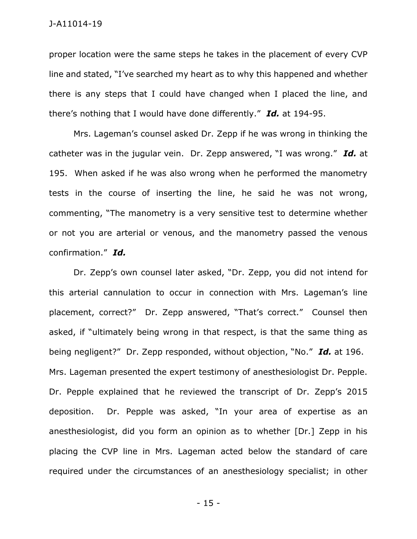proper location were the same steps he takes in the placement of every CVP line and stated, "I've searched my heart as to why this happened and whether there is any steps that I could have changed when I placed the line, and there's nothing that I would have done differently." *Id.* at 194-95.

Mrs. Lageman's counsel asked Dr. Zepp if he was wrong in thinking the catheter was in the jugular vein. Dr. Zepp answered, "I was wrong." *Id.* at 195. When asked if he was also wrong when he performed the manometry tests in the course of inserting the line, he said he was not wrong, commenting, "The manometry is a very sensitive test to determine whether or not you are arterial or venous, and the manometry passed the venous confirmation." *Id.* 

Dr. Zepp's own counsel later asked, "Dr. Zepp, you did not intend for this arterial cannulation to occur in connection with Mrs. Lageman's line placement, correct?" Dr. Zepp answered, "That's correct." Counsel then asked, if "ultimately being wrong in that respect, is that the same thing as being negligent?" Dr. Zepp responded, without objection, "No." *Id.* at 196. Mrs. Lageman presented the expert testimony of anesthesiologist Dr. Pepple. Dr. Pepple explained that he reviewed the transcript of Dr. Zepp's 2015 deposition. Dr. Pepple was asked, "In your area of expertise as an anesthesiologist, did you form an opinion as to whether [Dr.] Zepp in his placing the CVP line in Mrs. Lageman acted below the standard of care required under the circumstances of an anesthesiology specialist; in other

- 15 -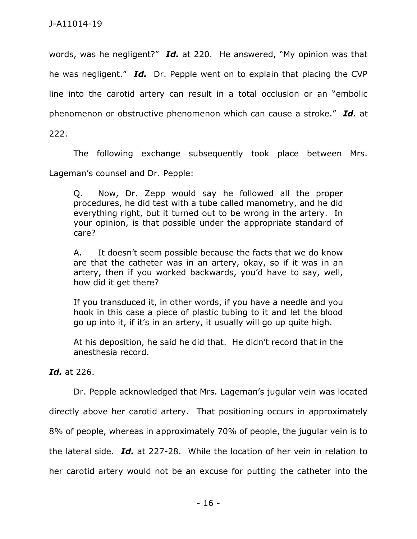words, was he negligent?" *Id.* at 220. He answered, "My opinion was that he was negligent." *Id.* Dr. Pepple went on to explain that placing the CVP line into the carotid artery can result in a total occlusion or an "embolic phenomenon or obstructive phenomenon which can cause a stroke." *Id.* at

222.

The following exchange subsequently took place between Mrs.

Lageman's counsel and Dr. Pepple:

Q. Now, Dr. Zepp would say he followed all the proper procedures, he did test with a tube called manometry, and he did everything right, but it turned out to be wrong in the artery. In your opinion, is that possible under the appropriate standard of care?

A. It doesn't seem possible because the facts that we do know are that the catheter was in an artery, okay, so if it was in an artery, then if you worked backwards, you'd have to say, well, how did it get there?

If you transduced it, in other words, if you have a needle and you hook in this case a piece of plastic tubing to it and let the blood go up into it, if it's in an artery, it usually will go up quite high.

At his deposition, he said he did that. He didn't record that in the anesthesia record.

*Id.* at 226.

Dr. Pepple acknowledged that Mrs. Lageman's jugular vein was located

directly above her carotid artery. That positioning occurs in approximately

8% of people, whereas in approximately 70% of people, the jugular vein is to

the lateral side. *Id.* at 227-28. While the location of her vein in relation to

her carotid artery would not be an excuse for putting the catheter into the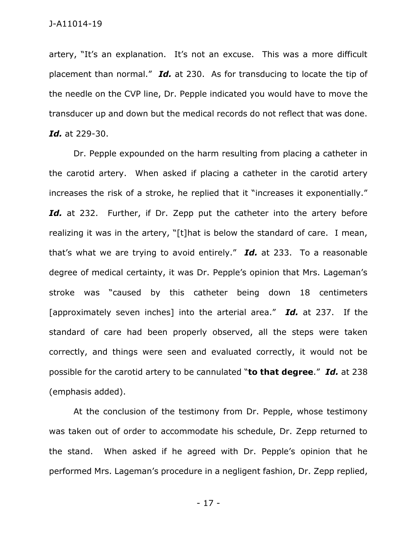artery, "It's an explanation. It's not an excuse. This was a more difficult placement than normal." *Id.* at 230. As for transducing to locate the tip of the needle on the CVP line, Dr. Pepple indicated you would have to move the transducer up and down but the medical records do not reflect that was done. *Id.* at 229-30.

Dr. Pepple expounded on the harm resulting from placing a catheter in the carotid artery. When asked if placing a catheter in the carotid artery increases the risk of a stroke, he replied that it "increases it exponentially." Id. at 232. Further, if Dr. Zepp put the catheter into the artery before realizing it was in the artery, "[t]hat is below the standard of care. I mean, that's what we are trying to avoid entirely." *Id.* at 233. To a reasonable degree of medical certainty, it was Dr. Pepple's opinion that Mrs. Lageman's stroke was "caused by this catheter being down 18 centimeters [approximately seven inches] into the arterial area." *Id.* at 237. If the standard of care had been properly observed, all the steps were taken correctly, and things were seen and evaluated correctly, it would not be possible for the carotid artery to be cannulated "**to that degree**." *Id.* at 238 (emphasis added).

At the conclusion of the testimony from Dr. Pepple, whose testimony was taken out of order to accommodate his schedule, Dr. Zepp returned to the stand. When asked if he agreed with Dr. Pepple's opinion that he performed Mrs. Lageman's procedure in a negligent fashion, Dr. Zepp replied,

- 17 -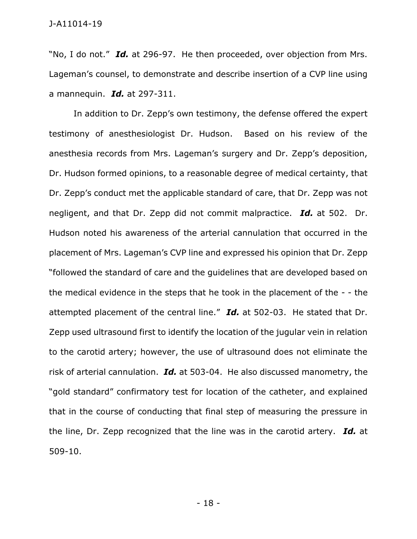"No, I do not." *Id.* at 296-97. He then proceeded, over objection from Mrs. Lageman's counsel, to demonstrate and describe insertion of a CVP line using a mannequin. *Id.* at 297-311.

In addition to Dr. Zepp's own testimony, the defense offered the expert testimony of anesthesiologist Dr. Hudson. Based on his review of the anesthesia records from Mrs. Lageman's surgery and Dr. Zepp's deposition, Dr. Hudson formed opinions, to a reasonable degree of medical certainty, that Dr. Zepp's conduct met the applicable standard of care, that Dr. Zepp was not negligent, and that Dr. Zepp did not commit malpractice. *Id.* at 502. Dr. Hudson noted his awareness of the arterial cannulation that occurred in the placement of Mrs. Lageman's CVP line and expressed his opinion that Dr. Zepp "followed the standard of care and the guidelines that are developed based on the medical evidence in the steps that he took in the placement of the - - the attempted placement of the central line." *Id.* at 502-03. He stated that Dr. Zepp used ultrasound first to identify the location of the jugular vein in relation to the carotid artery; however, the use of ultrasound does not eliminate the risk of arterial cannulation. *Id.* at 503-04. He also discussed manometry, the "gold standard" confirmatory test for location of the catheter, and explained that in the course of conducting that final step of measuring the pressure in the line, Dr. Zepp recognized that the line was in the carotid artery. *Id.* at 509-10.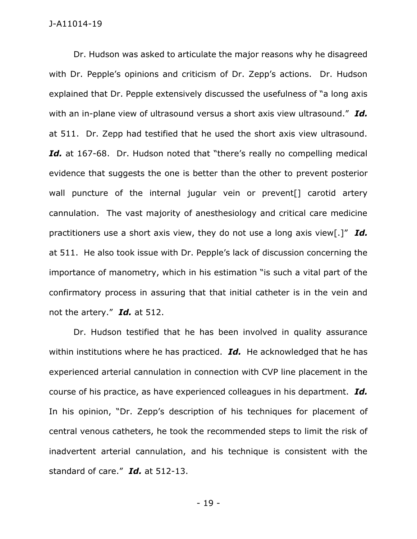Dr. Hudson was asked to articulate the major reasons why he disagreed with Dr. Pepple's opinions and criticism of Dr. Zepp's actions. Dr. Hudson explained that Dr. Pepple extensively discussed the usefulness of "a long axis with an in-plane view of ultrasound versus a short axis view ultrasound." *Id.*  at 511. Dr. Zepp had testified that he used the short axis view ultrasound. Id. at 167-68. Dr. Hudson noted that "there's really no compelling medical evidence that suggests the one is better than the other to prevent posterior wall puncture of the internal jugular vein or prevent<sup>[]</sup> carotid artery cannulation. The vast majority of anesthesiology and critical care medicine practitioners use a short axis view, they do not use a long axis view[.]" *Id.*  at 511. He also took issue with Dr. Pepple's lack of discussion concerning the importance of manometry, which in his estimation "is such a vital part of the confirmatory process in assuring that that initial catheter is in the vein and not the artery." *Id.* at 512.

Dr. Hudson testified that he has been involved in quality assurance within institutions where he has practiced. *Id.* He acknowledged that he has experienced arterial cannulation in connection with CVP line placement in the course of his practice, as have experienced colleagues in his department. *Id.*  In his opinion, "Dr. Zepp's description of his techniques for placement of central venous catheters, he took the recommended steps to limit the risk of inadvertent arterial cannulation, and his technique is consistent with the standard of care." *Id.* at 512-13.

- 19 -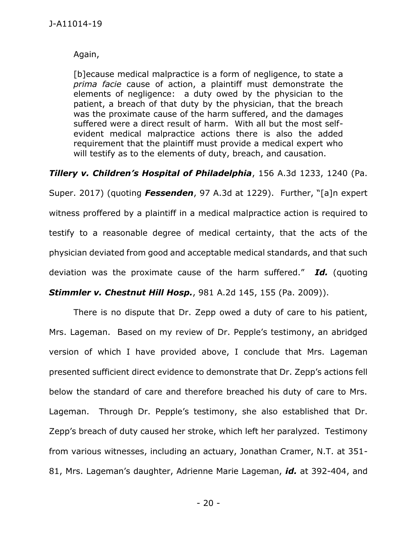Again,

[b]ecause medical malpractice is a form of negligence, to state a *prima facie* cause of action, a plaintiff must demonstrate the elements of negligence: a duty owed by the physician to the patient, a breach of that duty by the physician, that the breach was the proximate cause of the harm suffered, and the damages suffered were a direct result of harm. With all but the most selfevident medical malpractice actions there is also the added requirement that the plaintiff must provide a medical expert who will testify as to the elements of duty, breach, and causation.

*Tillery v. Children's Hospital of Philadelphia*, 156 A.3d 1233, 1240 (Pa. Super. 2017) (quoting *Fessenden*, [97 A.3d at 1229](https://1.next.westlaw.com/Link/Document/FullText?findType=Y&serNum=2033892600&pubNum=0007691&originatingDoc=I46536c90fe5011e692ccd0392c3f85a3&refType=RP&fi=co_pp_sp_7691_1229&originationContext=document&transitionType=DocumentItem&contextData=(sc.QASearch)#co_pp_sp_7691_1229)). Further, "[a]n expert witness proffered by a plaintiff in a medical malpractice action is required to testify to a reasonable degree of medical certainty, that the acts of the physician deviated from good and acceptable medical standards, and that such deviation was the proximate cause of the harm suffered." *Id.* (quoting

*[Stimmler v. Chestnut Hill Hosp.](https://1.next.westlaw.com/Link/Document/FullText?findType=Y&serNum=2019914424&pubNum=0000162&originatingDoc=I46536c90fe5011e692ccd0392c3f85a3&refType=RP&fi=co_pp_sp_162_155&originationContext=document&transitionType=DocumentItem&contextData=(sc.QASearch)#co_pp_sp_162_155)*, 981 A.2d 145, 155 (Pa. 2009)).

There is no dispute that Dr. Zepp owed a duty of care to his patient, Mrs. Lageman. Based on my review of Dr. Pepple's testimony, an abridged version of which I have provided above, I conclude that Mrs. Lageman presented sufficient direct evidence to demonstrate that Dr. Zepp's actions fell below the standard of care and therefore breached his duty of care to Mrs. Lageman. Through Dr. Pepple's testimony, she also established that Dr. Zepp's breach of duty caused her stroke, which left her paralyzed. Testimony from various witnesses, including an actuary, Jonathan Cramer, N.T. at 351- 81, Mrs. Lageman's daughter, Adrienne Marie Lageman, *id.* at 392-404, and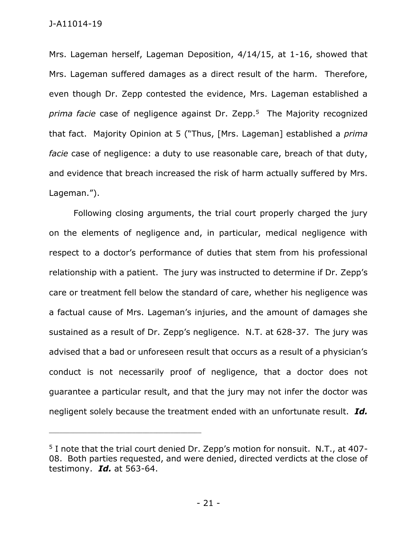Mrs. Lageman herself, Lageman Deposition, 4/14/15, at 1-16, showed that Mrs. Lageman suffered damages as a direct result of the harm. Therefore, even though Dr. Zepp contested the evidence, Mrs. Lageman established a *prima facie* case of negligence against Dr. Zepp.<sup>5</sup> The Majority recognized that fact. Majority Opinion at 5 ("Thus, [Mrs. Lageman] established a *prima facie* case of negligence: a duty to use reasonable care, breach of that duty, and evidence that breach increased the risk of harm actually suffered by Mrs. Lageman.").

Following closing arguments, the trial court properly charged the jury on the elements of negligence and, in particular, medical negligence with respect to a doctor's performance of duties that stem from his professional relationship with a patient. The jury was instructed to determine if Dr. Zepp's care or treatment fell below the standard of care, whether his negligence was a factual cause of Mrs. Lageman's injuries, and the amount of damages she sustained as a result of Dr. Zepp's negligence. N.T. at 628-37. The jury was advised that a bad or unforeseen result that occurs as a result of a physician's conduct is not necessarily proof of negligence, that a doctor does not guarantee a particular result, and that the jury may not infer the doctor was negligent solely because the treatment ended with an unfortunate result. *Id.* 

<sup>5</sup> I note that the trial court denied Dr. Zepp's motion for nonsuit. N.T., at 407- 08. Both parties requested, and were denied, directed verdicts at the close of testimony. *Id.* at 563-64.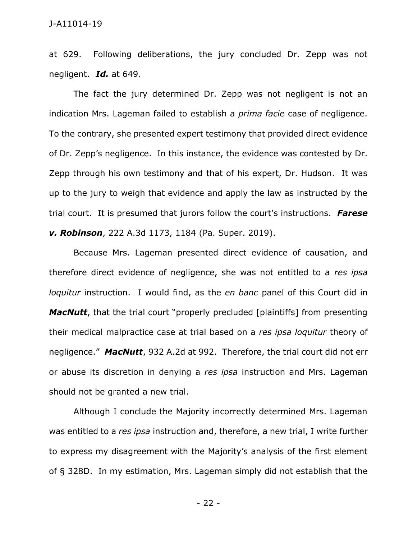at 629. Following deliberations, the jury concluded Dr. Zepp was not negligent. *Id.* at 649.

The fact the jury determined Dr. Zepp was not negligent is not an indication Mrs. Lageman failed to establish a *prima facie* case of negligence. To the contrary, she presented expert testimony that provided direct evidence of Dr. Zepp's negligence. In this instance, the evidence was contested by Dr. Zepp through his own testimony and that of his expert, Dr. Hudson. It was up to the jury to weigh that evidence and apply the law as instructed by the trial court. It is presumed that jurors follow the court's instructions. *Farese v. Robinson*, 222 A.3d 1173, 1184 (Pa. Super. 2019).

Because Mrs. Lageman presented direct evidence of causation, and therefore direct evidence of negligence, she was not entitled to a *res ipsa loquitur* instruction. I would find, as the *en banc* panel of this Court did in *MacNutt*, that the trial court "properly precluded [plaintiffs] from presenting their medical malpractice case at trial based on a *res ipsa loquitur* theory of negligence." *MacNutt*, 932 A.2d at 992. Therefore, the trial court did not err or abuse its discretion in denying a *res ipsa* instruction and Mrs. Lageman should not be granted a new trial.

Although I conclude the Majority incorrectly determined Mrs. Lageman was entitled to a *res ipsa* instruction and, therefore, a new trial, I write further to express my disagreement with the Majority's analysis of the first element of § 328D. In my estimation, Mrs. Lageman simply did not establish that the

- 22 -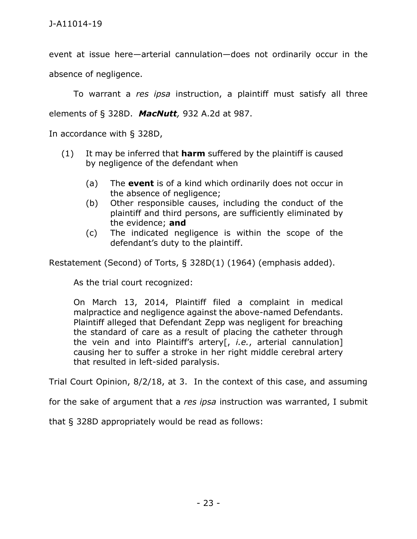event at issue here—arterial cannulation—does not ordinarily occur in the absence of negligence.

To warrant a *res ipsa* instruction, a plaintiff must satisfy all three elements of § 328D. *MacNutt,* [932 A.2d at 987.](https://1.next.westlaw.com/Link/Document/FullText?findType=Y&serNum=2013134994&pubNum=0000162&originatingDoc=I0e8c28ed1e3311e6b4bafa136b480ad2&refType=RP&fi=co_pp_sp_162_988&originationContext=document&transitionType=DocumentItem&contextData=(sc.Keycite)#co_pp_sp_162_988) 

In accordance with § 328D,

- (1) It may be inferred that **harm** suffered by the plaintiff is caused by negligence of the defendant when
	- (a) The **event** is of a kind which ordinarily does not occur in the absence of negligence;
	- (b) Other responsible causes, including the conduct of the plaintiff and third persons, are sufficiently eliminated by the evidence; **and**
	- (c) The indicated negligence is within the scope of the defendant's duty to the plaintiff.

Restatement (Second) of Torts, § 328D(1) (1964) (emphasis added).

As the trial court recognized:

On March 13, 2014, Plaintiff filed a complaint in medical malpractice and negligence against the above-named Defendants. Plaintiff alleged that Defendant Zepp was negligent for breaching the standard of care as a result of placing the catheter through the vein and into Plaintiff's artery[, *i.e.*, arterial cannulation] causing her to suffer a stroke in her right middle cerebral artery that resulted in left-sided paralysis.

Trial Court Opinion, 8/2/18, at 3. In the context of this case, and assuming

for the sake of argument that a *res ipsa* instruction was warranted, I submit

that § 328D appropriately would be read as follows: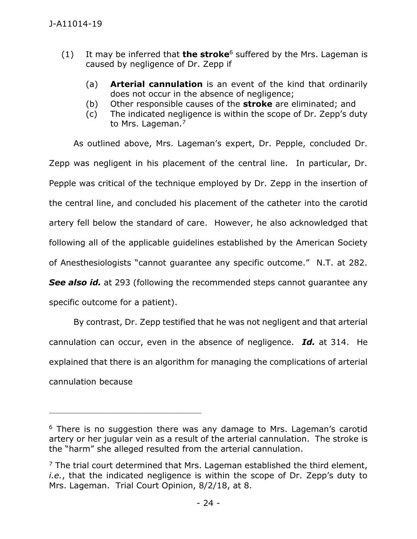- (1) It may be inferred that **the stroke**<sup>6</sup> suffered by the Mrs. Lageman is caused by negligence of Dr. Zepp if
	- (a) **Arterial cannulation** is an event of the kind that ordinarily does not occur in the absence of negligence;
	- (b) Other responsible causes of the **stroke** are eliminated; and
	- (c) The indicated negligence is within the scope of Dr. Zepp's duty to Mrs. Lageman.<sup>7</sup>

As outlined above, Mrs. Lageman's expert, Dr. Pepple, concluded Dr. Zepp was negligent in his placement of the central line. In particular, Dr. Pepple was critical of the technique employed by Dr. Zepp in the insertion of the central line, and concluded his placement of the catheter into the carotid artery fell below the standard of care. However, he also acknowledged that following all of the applicable guidelines established by the American Society of Anesthesiologists "cannot guarantee any specific outcome." N.T. at 282.

**See also id.** at 293 (following the recommended steps cannot quarantee any specific outcome for a patient).

By contrast, Dr. Zepp testified that he was not negligent and that arterial cannulation can occur, even in the absence of negligence. *Id.* at 314. He explained that there is an algorithm for managing the complications of arterial cannulation because

<sup>&</sup>lt;sup>6</sup> There is no suggestion there was any damage to Mrs. Lageman's carotid artery or her jugular vein as a result of the arterial cannulation. The stroke is the "harm" she alleged resulted from the arterial cannulation.

 $<sup>7</sup>$  The trial court determined that Mrs. Lageman established the third element,</sup> *i.e.*, that the indicated negligence is within the scope of Dr. Zepp's duty to Mrs. Lageman. Trial Court Opinion, 8/2/18, at 8.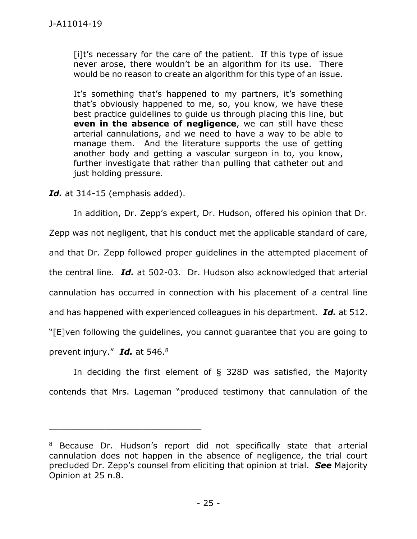[i]t's necessary for the care of the patient. If this type of issue never arose, there wouldn't be an algorithm for its use. There would be no reason to create an algorithm for this type of an issue.

It's something that's happened to my partners, it's something that's obviously happened to me, so, you know, we have these best practice guidelines to guide us through placing this line, but **even in the absence of negligence**, we can still have these arterial cannulations, and we need to have a way to be able to manage them. And the literature supports the use of getting another body and getting a vascular surgeon in to, you know, further investigate that rather than pulling that catheter out and just holding pressure.

*Id.* at 314-15 (emphasis added).

\_\_\_\_\_\_\_\_\_\_\_\_\_\_\_\_\_\_\_\_\_\_\_\_\_\_\_\_\_\_\_\_\_\_\_\_\_\_\_\_\_\_\_\_

In addition, Dr. Zepp's expert, Dr. Hudson, offered his opinion that Dr. Zepp was not negligent, that his conduct met the applicable standard of care, and that Dr. Zepp followed proper guidelines in the attempted placement of the central line. *Id.* at 502-03. Dr. Hudson also acknowledged that arterial cannulation has occurred in connection with his placement of a central line and has happened with experienced colleagues in his department. *Id.* at 512. "[E]ven following the guidelines, you cannot guarantee that you are going to prevent injury." *Id.* at 546.<sup>8</sup>

In deciding the first element of § 328D was satisfied, the Majority contends that Mrs. Lageman "produced testimony that cannulation of the

<sup>&</sup>lt;sup>8</sup> Because Dr. Hudson's report did not specifically state that arterial cannulation does not happen in the absence of negligence, the trial court precluded Dr. Zepp's counsel from eliciting that opinion at trial. *See* Majority Opinion at 25 n.8.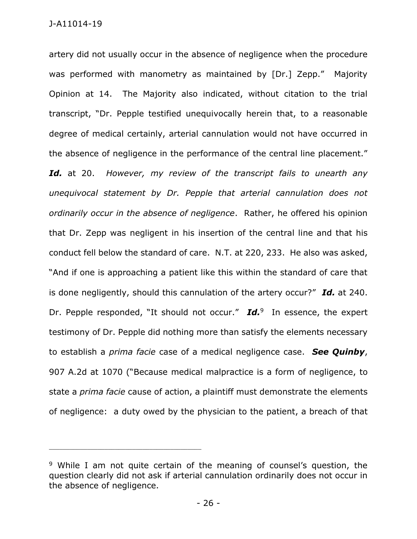artery did not usually occur in the absence of negligence when the procedure was performed with manometry as maintained by [Dr.] Zepp." Majority Opinion at 14. The Majority also indicated, without citation to the trial transcript, "Dr. Pepple testified unequivocally herein that, to a reasonable degree of medical certainly, arterial cannulation would not have occurred in the absence of negligence in the performance of the central line placement." *Id.* at 20. *However, my review of the transcript fails to unearth any unequivocal statement by Dr. Pepple that arterial cannulation does not ordinarily occur in the absence of negligence*. Rather, he offered his opinion that Dr. Zepp was negligent in his insertion of the central line and that his conduct fell below the standard of care. N.T. at 220, 233. He also was asked, "And if one is approaching a patient like this within the standard of care that is done negligently, should this cannulation of the artery occur?" *Id.* at 240. Dr. Pepple responded, "It should not occur." **Id.** In essence, the expert testimony of Dr. Pepple did nothing more than satisfy the elements necessary to establish a *prima facie* case of a medical negligence case. *See Quinby*, 907 A.2d at 1070 ("Because medical malpractice is a form of negligence, to state a *prima facie* cause of action, a plaintiff must demonstrate the elements of negligence: a duty owed by the physician to the patient, a breach of that

<sup>&</sup>lt;sup>9</sup> While I am not quite certain of the meaning of counsel's question, the question clearly did not ask if arterial cannulation ordinarily does not occur in the absence of negligence.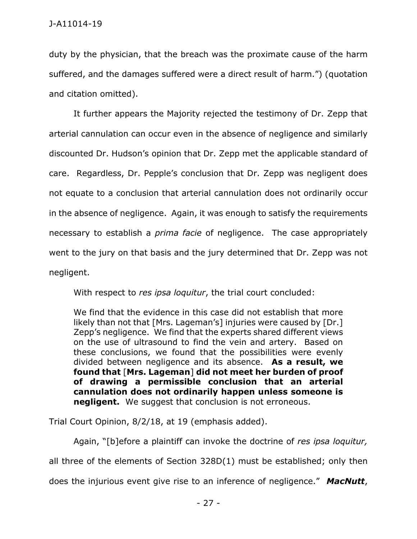duty by the physician, that the breach was the proximate cause of the harm suffered, and the damages suffered were a direct result of harm.") (quotation and citation omitted).

It further appears the Majority rejected the testimony of Dr. Zepp that arterial cannulation can occur even in the absence of negligence and similarly discounted Dr. Hudson's opinion that Dr. Zepp met the applicable standard of care. Regardless, Dr. Pepple's conclusion that Dr. Zepp was negligent does not equate to a conclusion that arterial cannulation does not ordinarily occur in the absence of negligence. Again, it was enough to satisfy the requirements necessary to establish a *prima facie* of negligence. The case appropriately went to the jury on that basis and the jury determined that Dr. Zepp was not negligent.

With respect to *res ipsa loquitur*, the trial court concluded:

We find that the evidence in this case did not establish that more likely than not that [Mrs. Lageman's] injuries were caused by [Dr.] Zepp's negligence. We find that the experts shared different views on the use of ultrasound to find the vein and artery. Based on these conclusions, we found that the possibilities were evenly divided between negligence and its absence. **As a result, we found that** [**Mrs. Lageman**] **did not meet her burden of proof of drawing a permissible conclusion that an arterial cannulation does not ordinarily happen unless someone is negligent.** We suggest that conclusion is not erroneous.

Trial Court Opinion, 8/2/18, at 19 (emphasis added).

Again, "[b]efore a plaintiff can invoke the doctrine of *res ipsa loquitur,* all three of the elements of Section [328D\(1\)](https://1.next.westlaw.com/Link/Document/FullText?findType=Y&serNum=0290694079&pubNum=0101577&originatingDoc=Ic6768b5b5d6511dc8200d0063168b01f&refType=TS&originationContext=document&transitionType=DocumentItem&contextData=(sc.Search)) must be established; only then does the injurious event give rise to an inference of negligence." *MacNutt*,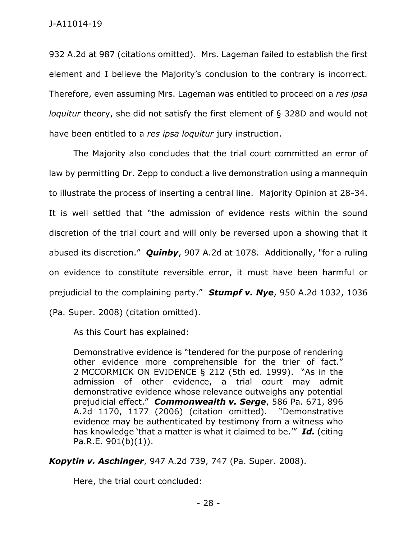932 A.2d at 987 (citations omitted). Mrs. Lageman failed to establish the first element and I believe the Majority's conclusion to the contrary is incorrect. Therefore, even assuming Mrs. Lageman was entitled to proceed on a *res ipsa loquitur* theory, she did not satisfy the first element of § 328D and would not have been entitled to a *res ipsa loquitur* jury instruction.

The Majority also concludes that the trial court committed an error of law by permitting Dr. Zepp to conduct a live demonstration using a mannequin to illustrate the process of inserting a central line. Majority Opinion at 28-34. It is well settled that "the admission of evidence rests within the sound discretion of the trial court and will only be reversed upon a showing that it abused its discretion." *Quinby*, 907 A.2d at 1078. Additionally, "for a ruling on evidence to constitute reversible error, it must have been harmful or prejudicial to the complaining party." *Stumpf v. Nye*, 950 A.2d 1032, 1036 (Pa. Super. 2008) (citation omitted).

As this Court has explained:

Demonstrative evidence is "tendered for the purpose of rendering other evidence more comprehensible for the trier of fact." 2 [MCCORMICK ON EVIDENCE](https://1.next.westlaw.com/Link/Document/FullText?findType=Y&serNum=0280312588&pubNum=0134642&originatingDoc=I7fc772e20a2811dd9876f446780b7bdc&refType=TS&originationContext=document&transitionType=DocumentItem&contextData=(sc.RelatedInfo)) § 212 (5th ed. 1999). "As in the admission of other evidence, a trial court may admit demonstrative evidence whose relevance outweighs any potential prejudicial effect." *[Commonwealth v. Serge](https://1.next.westlaw.com/Link/Document/FullText?findType=Y&serNum=2008989169&pubNum=0000162&originatingDoc=I7fc772e20a2811dd9876f446780b7bdc&refType=RP&fi=co_pp_sp_162_1177&originationContext=document&transitionType=DocumentItem&contextData=(sc.RelatedInfo)#co_pp_sp_162_1177)*, 586 Pa. 671, 896 [A.2d 1170, 1177 \(2006\)](https://1.next.westlaw.com/Link/Document/FullText?findType=Y&serNum=2008989169&pubNum=0000162&originatingDoc=I7fc772e20a2811dd9876f446780b7bdc&refType=RP&fi=co_pp_sp_162_1177&originationContext=document&transitionType=DocumentItem&contextData=(sc.RelatedInfo)#co_pp_sp_162_1177) (citation omitted). "Demonstrative evidence may be authenticated by testimony from a witness who has knowledge 'that a matter is what it claimed to be.'" *Id.* (citing Pa.R.E.  $901(b)(1)$ ).

*Kopytin v. Aschinger*, 947 A.2d 739, 747 (Pa. Super. 2008).

Here, the trial court concluded: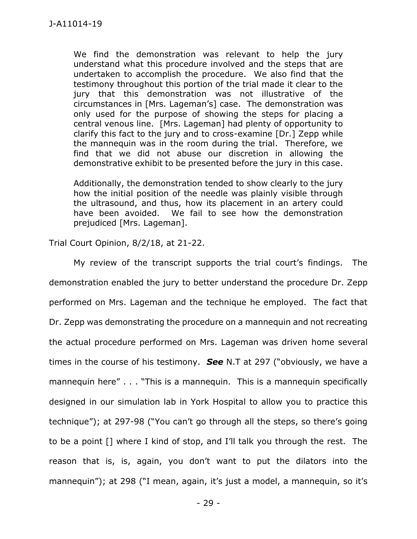We find the demonstration was relevant to help the jury understand what this procedure involved and the steps that are undertaken to accomplish the procedure. We also find that the testimony throughout this portion of the trial made it clear to the jury that this demonstration was not illustrative of the circumstances in [Mrs. Lageman's] case. The demonstration was only used for the purpose of showing the steps for placing a central venous line. [Mrs. Lageman] had plenty of opportunity to clarify this fact to the jury and to cross-examine [Dr.] Zepp while the mannequin was in the room during the trial. Therefore, we find that we did not abuse our discretion in allowing the demonstrative exhibit to be presented before the jury in this case.

Additionally, the demonstration tended to show clearly to the jury how the initial position of the needle was plainly visible through the ultrasound, and thus, how its placement in an artery could have been avoided. We fail to see how the demonstration prejudiced [Mrs. Lageman].

Trial Court Opinion, 8/2/18, at 21-22.

My review of the transcript supports the trial court's findings. The demonstration enabled the jury to better understand the procedure Dr. Zepp performed on Mrs. Lageman and the technique he employed. The fact that Dr. Zepp was demonstrating the procedure on a mannequin and not recreating the actual procedure performed on Mrs. Lageman was driven home several times in the course of his testimony. *See* N.T at 297 ("obviously, we have a mannequin here" . . . "This is a mannequin. This is a mannequin specifically designed in our simulation lab in York Hospital to allow you to practice this technique"); at 297-98 ("You can't go through all the steps, so there's going to be a point [] where I kind of stop, and I'll talk you through the rest. The reason that is, is, again, you don't want to put the dilators into the mannequin"); at 298 ("I mean, again, it's just a model, a mannequin, so it's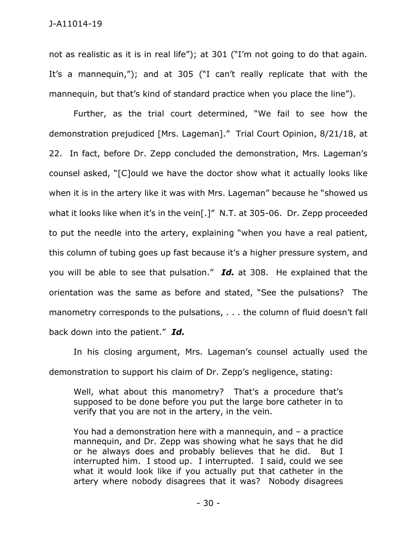not as realistic as it is in real life"); at 301 ("I'm not going to do that again. It's a mannequin,"); and at 305 ("I can't really replicate that with the mannequin, but that's kind of standard practice when you place the line").

Further, as the trial court determined, "We fail to see how the demonstration prejudiced [Mrs. Lageman]." Trial Court Opinion, 8/21/18, at 22. In fact, before Dr. Zepp concluded the demonstration, Mrs. Lageman's counsel asked, "[C]ould we have the doctor show what it actually looks like when it is in the artery like it was with Mrs. Lageman" because he "showed us what it looks like when it's in the vein[.]" N.T. at 305-06. Dr. Zepp proceeded to put the needle into the artery, explaining "when you have a real patient, this column of tubing goes up fast because it's a higher pressure system, and you will be able to see that pulsation." *Id.* at 308. He explained that the orientation was the same as before and stated, "See the pulsations? The manometry corresponds to the pulsations, . . . the column of fluid doesn't fall back down into the patient." *Id.* 

In his closing argument, Mrs. Lageman's counsel actually used the demonstration to support his claim of Dr. Zepp's negligence, stating:

Well, what about this manometry? That's a procedure that's supposed to be done before you put the large bore catheter in to verify that you are not in the artery, in the vein.

You had a demonstration here with a mannequin, and – a practice mannequin, and Dr. Zepp was showing what he says that he did or he always does and probably believes that he did. But I interrupted him. I stood up. I interrupted. I said, could we see what it would look like if you actually put that catheter in the artery where nobody disagrees that it was? Nobody disagrees